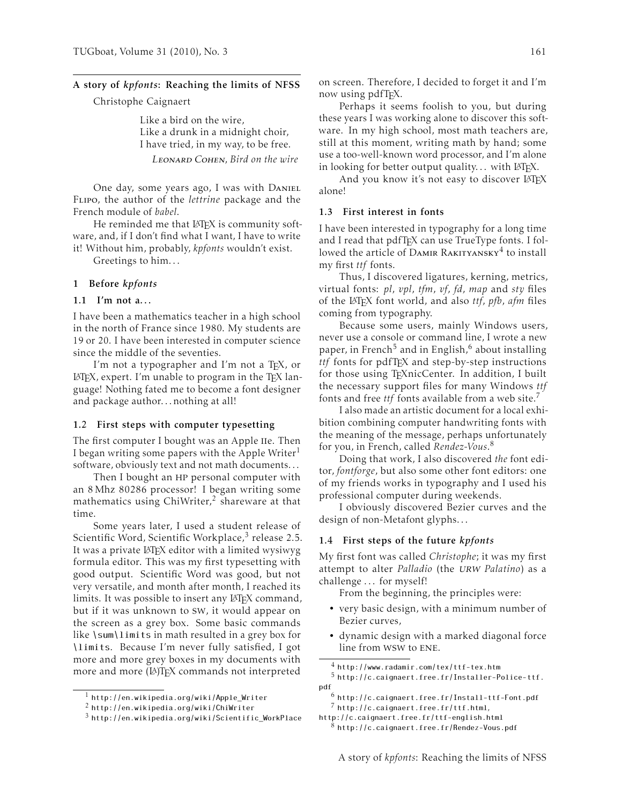# A story of *kpfonts*: Reaching the limits of NFSS

Christophe Caignaert

Like a bird on the wire, Like a drunk in a midnight choir, I have tried, in my way, to be free. Leonard Cohen, *Bird on the wire*

One day, some years ago, I was with DANIEL Flipo, the author of the *lettrine* package and the French module of *babel*.

He reminded me that LAT<sub>F</sub>X is community software, and, if I don't find what I want, I have to write it! Without him, probably, *kpfonts* wouldn't exist.

Greetings to him. . .

### 1 Before *kpfonts*

## 1.1 I'm not a...

I have been a mathematics teacher in a high school in the north of France since 1980. My students are 19 or 20. I have been interested in computer science since the middle of the seventies.

I'm not a typographer and I'm not a T<sub>F</sub>X, or LATEX, expert. I'm unable to program in the TEX language! Nothing fated me to become a font designer and package author. . . nothing at all!

## 1.2 First steps with computer typesetting

The first computer I bought was an Apple IIe. Then I began writing some papers with the Apple Writer<sup>1</sup> software, obviously text and not math documents. . .

Then I bought an HP personal computer with an 8 Mhz 80286 processor! I began writing some mathematics using ChiWriter,<sup>2</sup> shareware at that time.

Some years later, I used a student release of Scientific Word, Scientific Workplace,<sup>3</sup> release 2.5. It was a private LATEX editor with a limited wysiwyg formula editor. This was my first typesetting with good output. Scientific Word was good, but not very versatile, and month after month, I reached its limits. It was possible to insert any LATEX command, but if it was unknown to sw, it would appear on the screen as a grey box. Some basic commands like \sum\limits in math resulted in a grey box for \limits. Because I'm never fully satisfied, I got more and more grey boxes in my documents with more and more (IA)TEX commands not interpreted

on screen. Therefore, I decided to forget it and I'm now using pdfT<sub>F</sub>X.

Perhaps it seems foolish to you, but during these years I was working alone to discover this software. In my high school, most math teachers are, still at this moment, writing math by hand; some use a too-well-known word processor, and I'm alone in looking for better output quality... with LATEX.

And you know it's not easy to discover LATEX alone!

## 1.3 First interest in fonts

I have been interested in typography for a long time and I read that pdfTFX can use TrueType fonts. I followed the article of DAMIR RAKITYANSKY<sup>4</sup> to install my first *ttf* fonts.

Thus, I discovered ligatures, kerning, metrics, virtual fonts: *pl*, *vpl*, *tfm*, *vf*, *fd*, *map* and *sty* files of the LATEX font world, and also *ttf*, *pfb*, *afm* files coming from typography.

Because some users, mainly Windows users, never use a console or command line, I wrote a new paper, in French<sup>5</sup> and in English,<sup>6</sup> about installing *ttf* fonts for pdfTEX and step-by-step instructions for those using TEXnicCenter. In addition, I built the necessary support files for many Windows *ttf* fonts and free *ttf* fonts available from a web site.<sup>7</sup>

I also made an artistic document for a local exhibition combining computer handwriting fonts with the meaning of the message, perhaps unfortunately for you, in French, called *Rendez-Vous*. 8

Doing that work, I also discovered *the* font editor, *fontforge*, but also some other font editors: one of my friends works in typography and I used his professional computer during weekends.

I obviously discovered Bezier curves and the design of non-Metafont glyphs. . .

### 1.4 First steps of the future *kpfonts*

My first font was called *Christophe*; it was my first attempt to alter *Palladio* (the urw *Palatino*) as a challenge . . . for myself!

From the beginning, the principles were:

- very basic design, with a minimum number of Bezier curves,
- dynamic design with a marked diagonal force line from wsw to ene.

<sup>1</sup> http://en.wikipedia.org/wiki/Apple\_Writer

<sup>2</sup> http://en.wikipedia.org/wiki/ChiWriter

 $3$  http://en.wikipedia.org/wiki/Scientific WorkPlace

<sup>4</sup> http://www.radamir.com/tex/ttf-tex.htm <sup>5</sup> http://c.caignaert.free.fr/Installer-Police-ttf. pdf

 $^6$ http://c.caignaert.free.fr/Install-ttf-Font.pdf <sup>7</sup> http://c.caignaert.free.fr/ttf.html,

http://c.caignaert.free.fr/ttf-english.html

 $8$  http://c.caignaert.free.fr/Rendez-Vous.pdf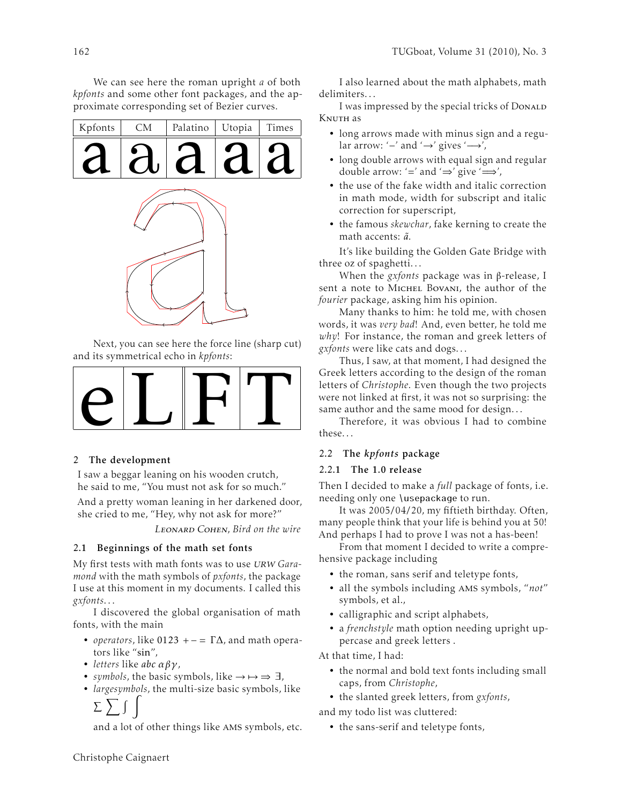We can see here the roman upright *a* of both *kpfonts* and some other font packages, and the approximate corresponding set of Bezier curves.

| Kpfonts | ${\rm CM}$ | Palatino | Utopia | Times |
|---------|------------|----------|--------|-------|
|         |            | $\Delta$ |        |       |
|         |            |          |        |       |
|         |            |          |        |       |
|         |            |          |        |       |
|         |            |          |        |       |
|         |            |          |        |       |

Next, you can see here the force line (sharp cut) and its symmetrical echo in *kpfonts*:



## 2 The development

I saw a beggar leaning on his wooden crutch, he said to me, "You must not ask for so much."

And a pretty woman leaning in her darkened door, she cried to me, "Hey, why not ask for more?"

Leonard Cohen, *Bird on the wire*

## 2.1 Beginnings of the math set fonts

My first tests with math fonts was to use urw *Garamond* with the math symbols of *pxfonts*, the package I use at this moment in my documents. I called this *gxfonts*. . .

I discovered the global organisation of math fonts, with the main

- *operators*, like 0123 +  $= \Gamma \Delta$ , and math operators like "sin",
- *letters* like *abc αβγ*,
- *symbols*, the basic symbols, like  $\rightarrow \rightarrow \rightarrow \exists$ ,
- *largesymbols*, the multi-size basic symbols, like

 $\Sigma$   $\Sigma$  $\overline{1}$ 

and a lot of other things like ams symbols, etc.

I also learned about the math alphabets, math delimiters. . .

I was impressed by the special tricks of DonaLD KNUTH as

- long arrows made with minus sign and a regular arrow: ' $-$ ' and ' $\rightarrow$ ' gives ' $\rightarrow$ ',
- long double arrows with equal sign and regular double arrow: '=' and ' $\Rightarrow$ ' give ' $\Longrightarrow'$ ,
- the use of the fake width and italic correction in math mode, width for subscript and italic correction for superscript,
- the famous *skewchar*, fake kerning to create the math accents:  $\tilde{a}$ .

It's like building the Golden Gate Bridge with three oz of spaghetti. . .

When the *gxfonts* package was in β-release, I sent a note to MICHEL BOVANI, the author of the *fourier* package, asking him his opinion.

Many thanks to him: he told me, with chosen words, it was *very bad*! And, even better, he told me *why*! For instance, the roman and greek letters of *gxfonts* were like cats and dogs. . .

Thus, I saw, at that moment, I had designed the Greek letters according to the design of the roman letters of *Christophe*. Even though the two projects were not linked at first, it was not so surprising: the same author and the same mood for design. . .

Therefore, it was obvious I had to combine these. . .

# 2.2 The *kpfonts* package

## 2.2.1 The 1.0 release

Then I decided to make a *full* package of fonts, i.e. needing only one \usepackage to run.

It was 2005/04/20, my fiftieth birthday. Often, many people think that your life is behind you at 50! And perhaps I had to prove I was not a has-been!

From that moment I decided to write a comprehensive package including

- the roman, sans serif and teletype fonts,
- all the symbols including ams symbols, "*not*" symbols, et al.,
- calligraphic and script alphabets,
- a *frenchstyle* math option needing upright uppercase and greek letters .

At that time, I had:

- the normal and bold text fonts including small caps, from *Christophe*,
- the slanted greek letters, from *gxfonts*,

and my todo list was cluttered:

• the sans-serif and teletype fonts,

Christophe Caignaert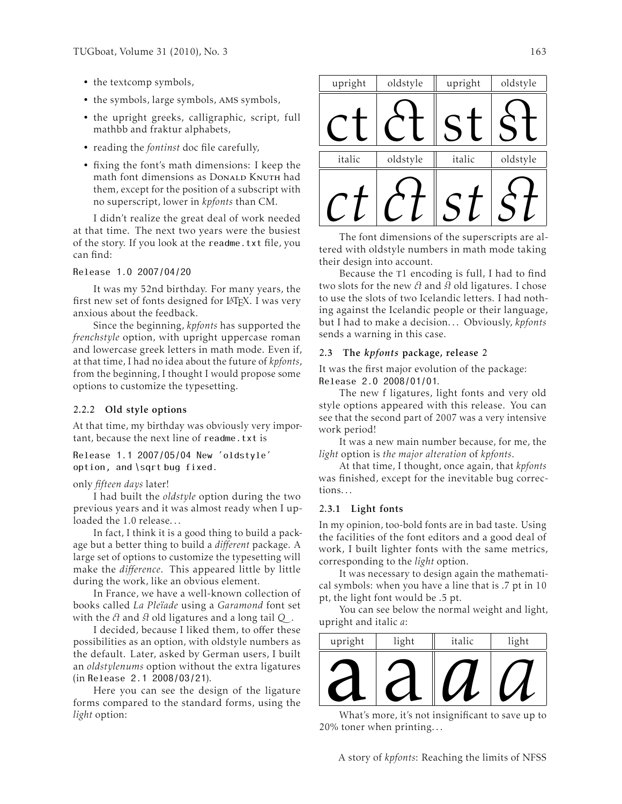- the textcomp symbols,
- the symbols, large symbols, ams symbols,
- the upright greeks, calligraphic, script, full mathbb and fraktur alphabets,
- reading the *fontinst* doc file carefully,
- fixing the font's math dimensions: I keep the math font dimensions as Donald Knuth had them, except for the position of a subscript with no superscript, lower in *kpfonts* than CM.

I didn't realize the great deal of work needed at that time. The next two years were the busiest of the story. If you look at the readme.txt file, you can find:

Release 1.0 2007/04/20

It was my 52nd birthday. For many years, the first new set of fonts designed for LATEX. I was very anxious about the feedback.

Since the beginning, *kpfonts* has supported the *frenchstyle* option, with upright uppercase roman and lowercase greek letters in math mode. Even if, at that time, I had no idea about the future of *kpfonts*, from the beginning, I thought I would propose some options to customize the typesetting.

## 2.2.2 Old style options

At that time, my birthday was obviously very important, because the next line of readme.txt is

Release 1.1 2007/05/04 New 'oldstyle' option, and \sqrt bug fixed.

### only *fifteen days* later!

I had built the *oldstyle* option during the two previous years and it was almost ready when I uploaded the 1.0 release...

In fact, I think it is a good thing to build a package but a better thing to build a *different* package. A large set of options to customize the typesetting will make the *difference*. This appeared little by little during the work, like an obvious element.

In France, we have a well-known collection of books called *La Pleïade* using a *Garamond* font set with the  $\partial t$  and  $\partial t$  old ligatures and a long tail Q.

I decided, because I liked them, to offer these possibilities as an option, with oldstyle numbers as the default. Later, asked by German users, I built an *oldstylenums* option without the extra ligatures (in Release 2.1 2008/03/21).

Here you can see the design of the ligature forms compared to the standard forms, using the *light* option:

| upright                                         | oldstyle | upright | oldstyle |
|-------------------------------------------------|----------|---------|----------|
|                                                 |          |         |          |
| italic                                          | oldstyle | italic  | oldstyle |
|                                                 |          |         |          |
| The font dimensions of the superscripts are al- |          |         |          |

tered with oldstyle numbers in math mode taking their design into account.

Because the T1 encoding is full, I had to find two slots for the new  $\partial t$  and  $\partial t$  old ligatures. I chose to use the slots of two Icelandic letters. I had nothing against the Icelandic people or their language, but I had to make a decision. . . Obviously, *kpfonts* sends a warning in this case.

## 2.3 The *kpfonts* package, release 2

It was the first major evolution of the package: Release 2.0 2008/01/01.

The new f ligatures, light fonts and very old style options appeared with this release. You can see that the second part of 2007 was a very intensive work period!

It was a new main number because, for me, the *light* option is *the major alteration* of *kpfonts*.

At that time, I thought, once again, that *kpfonts* was finished, except for the inevitable bug corrections. . .

### 2.3.1 Light fonts

In my opinion, too-bold fonts are in bad taste. Using the facilities of the font editors and a good deal of work, I built lighter fonts with the same metrics, corresponding to the *light* option.

It was necessary to design again the mathematical symbols: when you have a line that is .7 pt in 10 pt, the light font would be .5 pt.

You can see below the normal weight and light, upright and italic *a*:

| upright | light                                             | italic | light |
|---------|---------------------------------------------------|--------|-------|
|         |                                                   |        |       |
|         |                                                   |        |       |
|         |                                                   |        |       |
|         | What's more, it's not insignificant to save up to |        |       |

20% toner when printing. . .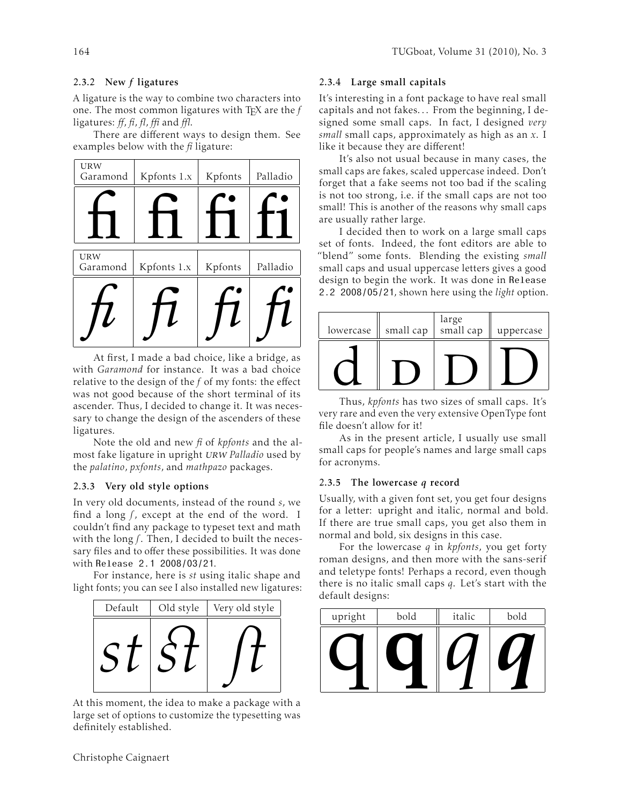## 2.3.2 New *f* ligatures

A ligature is the way to combine two characters into one. The most common ligatures with TEX are the *f* ligatures: *ff*, *fi*, *fl*, *ffi* and *ffl*.

There are different ways to design them. See examples below with the *fi* ligature:

| <b>URW</b><br>Garamond | Kpfonts 1.x | Kpfonts | Palladio |
|------------------------|-------------|---------|----------|
|                        |             |         |          |
| <b>URW</b><br>Garamond | Kpfonts 1.x | Kpfonts | Palladio |

At first, I made a bad choice, like a bridge, as with *Garamond* for instance. It was a bad choice relative to the design of the *f* of my fonts: the effect was not good because of the short terminal of its ascender. Thus, I decided to change it. It was necessary to change the design of the ascenders of these ligatures.

Note the old and new *fi* of *kpfonts* and the almost fake ligature in upright urw *Palladio* used by the *palatino*, *pxfonts*, and *mathpazo* packages.

### 2.3.3 Very old style options

In very old documents, instead of the round *s*, we find a long  $f$ , except at the end of the word. I couldn't find any package to typeset text and math with the long *f*. Then, I decided to built the necessary files and to offer these possibilities. It was done with Release 2.1 2008/03/21.

For instance, here is *st* using italic shape and light fonts; you can see I also installed new ligatures:



At this moment, the idea to make a package with a large set of options to customize the typesetting was definitely established.

### 2.3.4 Large small capitals

It's interesting in a font package to have real small capitals and not fakes. . . From the beginning, I designed some small caps. In fact, I designed *very small* small caps, approximately as high as an *x*. I like it because they are different!

It's also not usual because in many cases, the small caps are fakes, scaled uppercase indeed. Don't forget that a fake seems not too bad if the scaling is not too strong, i.e. if the small caps are not too small! This is another of the reasons why small caps are usually rather large.

I decided then to work on a large small caps set of fonts. Indeed, the font editors are able to "blend" some fonts. Blending the existing *small* small caps and usual uppercase letters gives a good design to begin the work. It was done in Release 2.2 2008/05/21, shown here using the *light* option.

| lowercase | small cap | large<br>small cap | uppercase |
|-----------|-----------|--------------------|-----------|
|           |           |                    |           |

Thus, *kpfonts* has two sizes of small caps. It's very rare and even the very extensive OpenType font file doesn't allow for it!

As in the present article, I usually use small small caps for people's names and large small caps for acronyms.

#### 2.3.5 The lowercase *q* record

Usually, with a given font set, you get four designs for a letter: upright and italic, normal and bold. If there are true small caps, you get also them in normal and bold, six designs in this case.

For the lowercase *q* in *kpfonts*, you get forty roman designs, and then more with the sans-serif and teletype fonts! Perhaps a record, even though there is no italic small caps *q*. Let's start with the default designs:

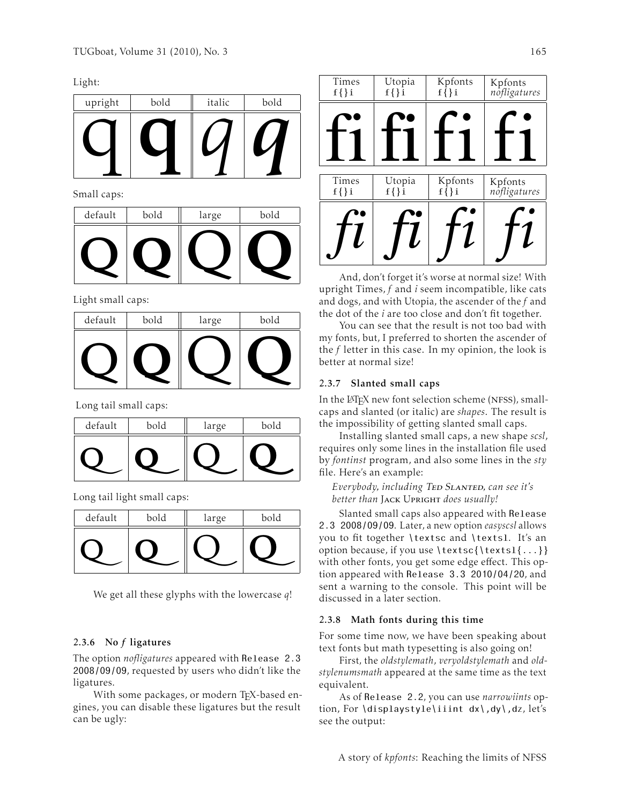Light:

| upright | bold | italic | bold |
|---------|------|--------|------|
|         |      |        |      |

Small caps:

| default | bold | large | bold |
|---------|------|-------|------|
|         |      |       |      |

Light small caps:

| $\check{ }$<br>default | bold | large | bold |
|------------------------|------|-------|------|
|                        |      |       |      |

Long tail small caps:

| default | bold | large | bold |
|---------|------|-------|------|
|         |      |       |      |

Long tail light small caps:

| default | bold | large | bold |
|---------|------|-------|------|
|         |      |       |      |

We get all these glyphs with the lowercase *q*!

### 2.3.6 No *f* ligatures

The option *nofligatures* appeared with Release 2.3 2008/09/09, requested by users who didn't like the ligatures.

With some packages, or modern TFX-based engines, you can disable these ligatures but the result can be ugly:

| Times<br>$f\{\}i$ | Utopia<br>$f\{\}$ i | Kpfonts<br>$f\{\}$ i | Kpfonts<br>nofligatures |
|-------------------|---------------------|----------------------|-------------------------|
|                   |                     |                      |                         |
|                   |                     |                      |                         |
| Times             | Utopia              | Kpfonts              | Kpfonts                 |
| $f\{\}$ i         | $f\{\}\hat{i}$      | $f\{\}i$             | nofligatures            |
|                   |                     |                      |                         |
|                   |                     |                      |                         |

And, don't forget it's worse at normal size! With upright Times, *f* and *i* seem incompatible, like cats and dogs, and with Utopia, the ascender of the *f* and the dot of the *i* are too close and don't fit together.

You can see that the result is not too bad with my fonts, but, I preferred to shorten the ascender of the *f* letter in this case. In my opinion, the look is better at normal size!

### 2.3.7 Slanted small caps

In the LATEX new font selection scheme (NFSS), smallcaps and slanted (or italic) are *shapes*. The result is the impossibility of getting slanted small caps.

Installing slanted small caps, a new shape *scsl*, requires only some lines in the installation file used by *fontinst* program, and also some lines in the *sty* file. Here's an example:

*Everybody, including* Ted Slanted*, can see it's better than* Jack Upright *does usually!*

Slanted small caps also appeared with Release 2.3 2008/09/09. Later, a new option *easyscsl* allows you to fit together \textsc and \textsl. It's an option because, if you use \textsc{\textsl{...}} with other fonts, you get some edge effect. This option appeared with Release 3.3 2010/04/20, and sent a warning to the console. This point will be discussed in a later section.

### 2.3.8 Math fonts during this time

For some time now, we have been speaking about text fonts but math typesetting is also going on!

First, the *oldstylemath*, *veryoldstylemath* and *oldstylenumsmath* appeared at the same time as the text equivalent.

As of Release 2.2, you can use *narrowiints* option, For \displaystyle\iiint dx\,dy\,dz, let's see the output: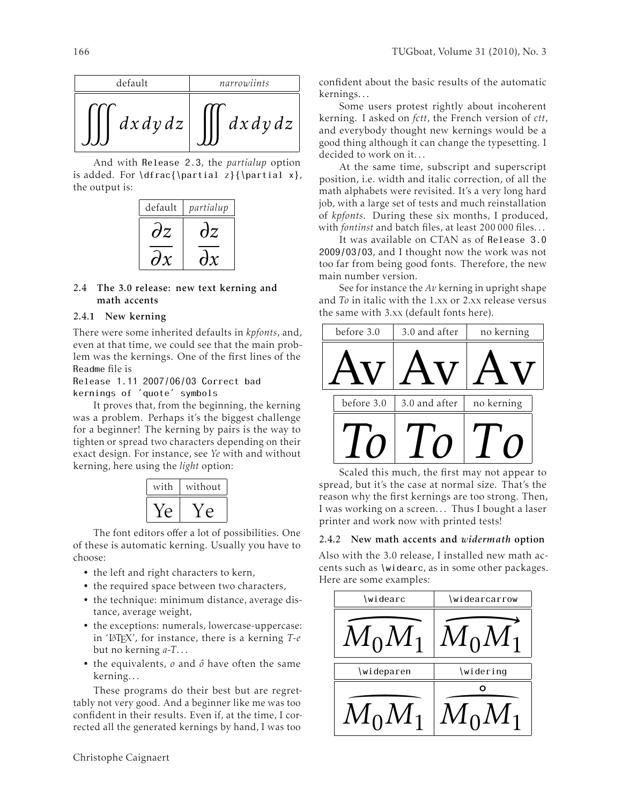

And with Release 2.3, the *partialup* option is added. For  $\dfrac{\partial z}{\partial x}$ , the output is:



## 2.4 The 3.0 release: new text kerning and math accents

# 2.4.1 New kerning

There were some inherited defaults in *kpfonts*, and, even at that time, we could see that the main problem was the kernings. One of the first lines of the Readme file is

Release 1.11 2007/06/03 Correct bad

kernings of 'quote' symbols

It proves that, from the beginning, the kerning was a problem. Perhaps it's the biggest challenge for a beginner! The kerning by pairs is the way to tighten or spread two characters depending on their exact design. For instance, see *Ye* with and without kerning, here using the *light* option:



The font editors offer a lot of possibilities. One of these is automatic kerning. Usually you have to choose:

- the left and right characters to kern,
- the required space between two characters,
- the technique: minimum distance, average distance, average weight,
- the exceptions: numerals, lowercase-uppercase: in 'LATEX', for instance, there is a kerning *T-e* but no kerning *a-T*. . .
- the equivalents, *o* and *ô* have often the same kerning. . .

These programs do their best but are regrettably not very good. And a beginner like me was too confident in their results. Even if, at the time, I corrected all the generated kernings by hand, I was too

confident about the basic results of the automatic kernings. . .

Some users protest rightly about incoherent kerning. I asked on *fctt*, the French version of *ctt*, and everybody thought new kernings would be a good thing although it can change the typesetting. I decided to work on it...

At the same time, subscript and superscript position, i.e. width and italic correction, of all the math alphabets were revisited. It's a very long hard job, with a large set of tests and much reinstallation of *kpfonts*. During these six months, I produced, with *fontinst* and batch files, at least 200 000 files. . .

It was available on CTAN as of Release 3.0 2009/03/03, and I thought now the work was not too far from being good fonts. Therefore, the new main number version.

See for instance the *Av* kerning in upright shape and *To* in italic with the 1.xx or 2.xx release versus the same with 3.xx (default fonts here).



Scaled this much, the first may not appear to spread, but it's the case at normal size. That's the reason why the first kernings are too strong. Then, I was working on a screen... Thus I bought a laser printer and work now with printed tests!

# 2.4.2 New math accents and *widermath* option

Also with the 3.0 release, I installed new math accents such as \widearc, as in some other packages. Here are some examples:

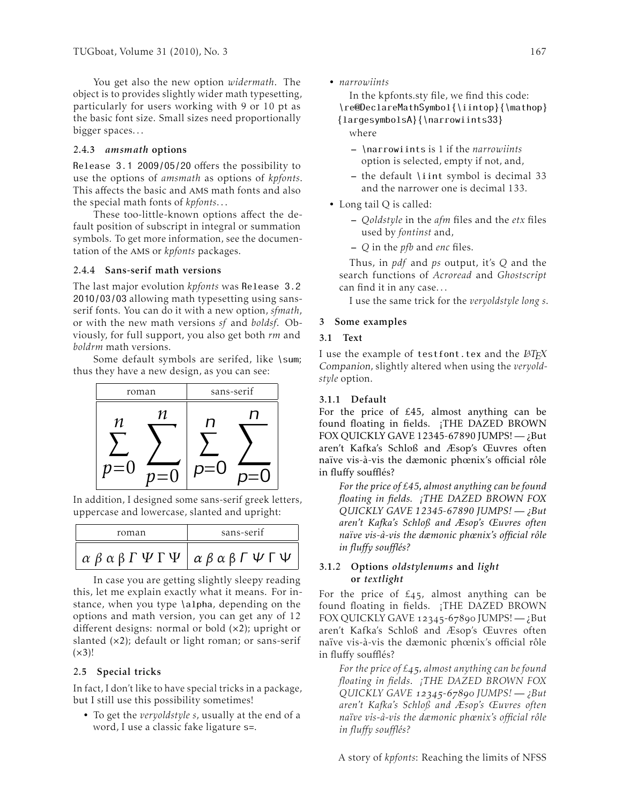You get also the new option *widermath*. The object is to provides slightly wider math typesetting, particularly for users working with 9 or 10 pt as the basic font size. Small sizes need proportionally bigger spaces. . .

### 2.4.3 *amsmath* options

Release 3.1 2009/05/20 offers the possibility to use the options of *amsmath* as options of *kpfonts*. This affects the basic and ams math fonts and also the special math fonts of *kpfonts*. . .

These too-little-known options affect the default position of subscript in integral or summation symbols. To get more information, see the documentation of the ams or *kpfonts* packages.

#### 2.4.4 Sans-serif math versions

The last major evolution *kpfonts* was Release 3.2 2010/03/03 allowing math typesetting using sansserif fonts. You can do it with a new option, *sfmath*, or with the new math versions *sf* and *boldsf*. Obviously, for full support, you also get both *rm* and *boldrm* math versions.

Some default symbols are serifed, like \sum; thus they have a new design, as you can see:



In addition, I designed some sans-serif greek letters, uppercase and lowercase, slanted and upright:

| roman                                                                                                 | sans-serif |  |
|-------------------------------------------------------------------------------------------------------|------------|--|
| $\alpha \beta \alpha \beta \Gamma \Psi \Gamma \Psi \alpha \beta \alpha \beta \Gamma \Psi \Gamma \Psi$ |            |  |

In case you are getting slightly sleepy reading this, let me explain exactly what it means. For instance, when you type \alpha, depending on the options and math version, you can get any of 12 different designs: normal or bold (×2); upright or slanted  $(x2)$ ; default or light roman; or sans-serif  $(x3)!$ 

### 2.5 Special tricks

In fact, I don't like to have special tricks in a package, but I still use this possibility sometimes!

• To get the *veryoldstyle s*, usually at the end of a word, I use a classic fake ligature s=.

• *narrowiints*

In the kpfonts.sty file, we find this code: \re@DeclareMathSymbol{\iintop}{\mathop} {largesymbolsA}{\narrowiints33} where

- \narrowiints is 1 if the *narrowiints* option is selected, empty if not, and,
- the default \iint symbol is decimal 33 and the narrower one is decimal 133.
- Long tail Q is called:
	- *Qoldstyle* in the *afm* files and the *etx* files used by *fontinst* and,
	- *Q* in the *pfb* and *enc* files.

Thus, in *pdf* and *ps* output, it's *Q* and the search functions of *Acroread* and *Ghostscript* can find it in any case. . .

I use the same trick for the *veryoldstyle long s*.

### 3 Some examples

### 3.1 Text

I use the example of testfont.tex and the  $\cancel{B T}$ FX Companion, slightly altered when using the *veryoldstyle* option.

### 3.1.1 Default

For the price of £45, almost anything can be found floating in fields. ¡THE DAZED BROWN FOX QUICKLY GAVE 12345-67890 JUMPS! $-$ <sub>i</sub>But aren't Kafka's Schloß and Æsop's Œuvres often naïve vis-à-vis the dæmonic phœnix's official rôle in fluffy soufflés?

*For the price of £45, almost anything can be found floating in fields. ¡THE DAZED BROWN FOX QUICKLY GAVE 12345-67890 JUMPS! — ¿But aren't Kafka's Schloß and Æsop's Œuvres often naïve vis-à-vis the dæmonic phœnix's official rôle in fluffy soufflés?*

## 3.1.2 Options *oldstylenums* and *light* or *textlight*

For the price of  $\epsilon_{45}$ , almost anything can be found floating in fields. ¡THE DAZED BROWN FOX QUICKLY GAVE  $12345 - 67890$  JUMPS!  $-$  ¿But aren't Kafka's Schloß and Æsop's Œuvres often naïve vis-à-vis the dæmonic phœnix's official rôle in fluffy soufflés?

*For the price of £45, almost anything can be found floating in fields. ¡THE DAZED BROWN FOX QUICKLY GAVE - JUMPS! — ¿But aren't Kafka's Schloß and Æsop's Œuvres often naïve vis-à-vis the dæmonic phœnix's official rôle in fluffy soufflés?*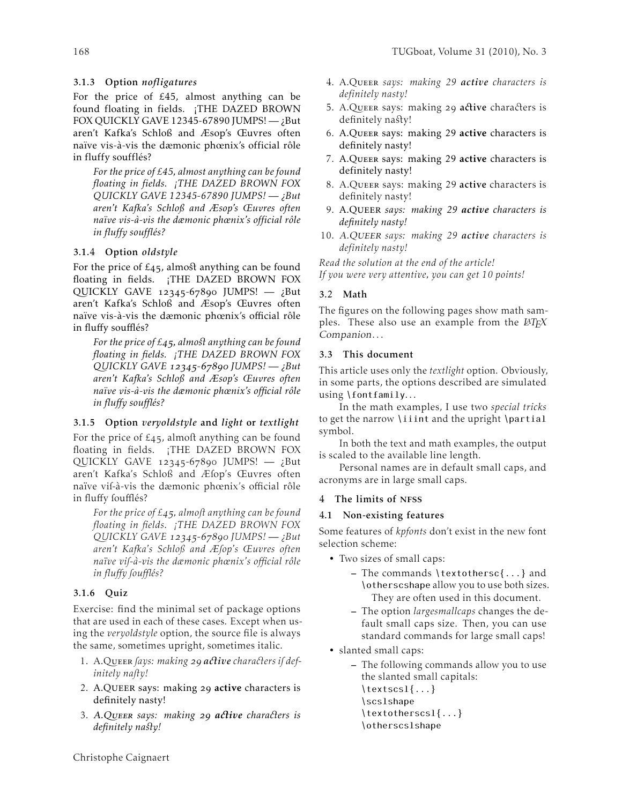# 3.1.3 Option *nofligatures*

For the price of £45, almost anything can be found floating in fields. ¡THE DAZED BROWN FOX QUICKLY GAVE 12345-67890 JUMPS! $-$ <sub>i</sub>But aren't Kafka's Schloß and Æsop's Œuvres often naïve vis-à-vis the dæmonic phœnix's official rôle in fluffy soufflés?

*For the price of £45, almost anything can be found floating in fields. ¡THE DAZED BROWN FOX QUICKLY GAVE 12345-67890 JUMPS! — ¿But aren't Kafka's Schloß and Æsop's Œuvres often naïve vis-à-vis the dæmonic phœnix's official rôle in fluffy soufflés?*

# 3.1.4 Option *oldstyle*

For the price of  $\text{\pounds}_{45}$ , almost anything can be found floating in fields. ¡THE DAZED BROWN FOX QUICKLY GAVE  $12345-67890$  JUMPS!  $-$  ;But aren't Kafka's Schloß and Æsop's Œuvres often naïve vis-à-vis the dæmonic phœnix's official rôle in fluffy soufflés?

*For the price of £4.5, almost anything can be found floating in fields. ¡THE DAZED BROWN FOX QUICKLY GAVE - JUMPS! — ¿But aren't Kafka's Schloß and Æsop's Œuvres often naïve vis-à-vis the dæmonic phœnix's official rôle in fluffy soufflés?*

# 3.1.5 Option *veryoldstyle* and *light* or *textlight*

For the price of  $\epsilon_{45}$ , almoft anything can be found floating in fields. ¡THE DAZED BROWN FOX QUICKLY GAVE  $12345-67890$  JUMPS!  $-$  ¿But aren't Kafka's Schloß and Æfop's Œuvres often naïve vif-à-vis the dæmonic phœnix's official rôle in fluffy foufflés?

*For the price of £45, almoft anything can be found floating in fields. ¡THE DAZED BROWN FOX QUICKLY GAVE - JUMPS! — ¿But aren't Kafka's Schloß and Æsop's Œuvres often naïve vis-à-vis the dæmonic phœnix's official rôle in fluffy soufflés?*

# 3.1.6 Quiz

Exercise: find the minimal set of package options that are used in each of these cases. Except when using the *veryoldstyle* option, the source file is always the same, sometimes upright, sometimes italic.

- 1. A.QUEER *fays: making* 29 active characters if def*initely naõy!*
- 2. A.QUEER says: making 29 active characters is definitely nasty!
- 3. A.Queer *says: making a ive chara ers is*  $definitely$  *na<sup>§t</sup>y!*
- 4. A.Queer *says: making 29 active characters is definitely nasty!*
- 5. A.QUEER says: making 29 active characters is definitely nasty!
- 6. A.Queer says: making 29 active characters is definitely nasty!
- 7. A.Queer says: making 29 active characters is definitely nasty!
- 8. A.Queer says: making 29 active characters is definitely nasty!
- 9. A.Queer *says: making 29 active characters is definitely nasty!*
- 10. A.Queer *says: making 29 active characters is definitely nasty!*

*Read the solution at the end of the article! If you were very attentive, you can get 10 points!*

# 3.2 Math

The figures on the following pages show math samples. These also use an example from the  $\cancel{B T} \cancel{F} X$ Companion. . .

# 3.3 This document

This article uses only the *textlight* option. Obviously, in some parts, the options described are simulated using \fontfamily...

In the math examples, I use two *special tricks* to get the narrow \iiint and the upright \partial symbol.

In both the text and math examples, the output is scaled to the available line length.

Personal names are in default small caps, and acronyms are in large small caps.

## 4 The limits of NFSS

## 4.1 Non-existing features

Some features of *kpfonts* don't exist in the new font selection scheme:

- Two sizes of small caps:
	- The commands \textothersc{...} and \otherscshape allow you to use both sizes. They are often used in this document.
	- The option *largesmallcaps* changes the default small caps size. Then, you can use standard commands for large small caps!
- slanted small caps:
	- The following commands allow you to use the slanted small capitals: \textscsl{...}

\scslshape \textotherscsl{...}

\otherscslshape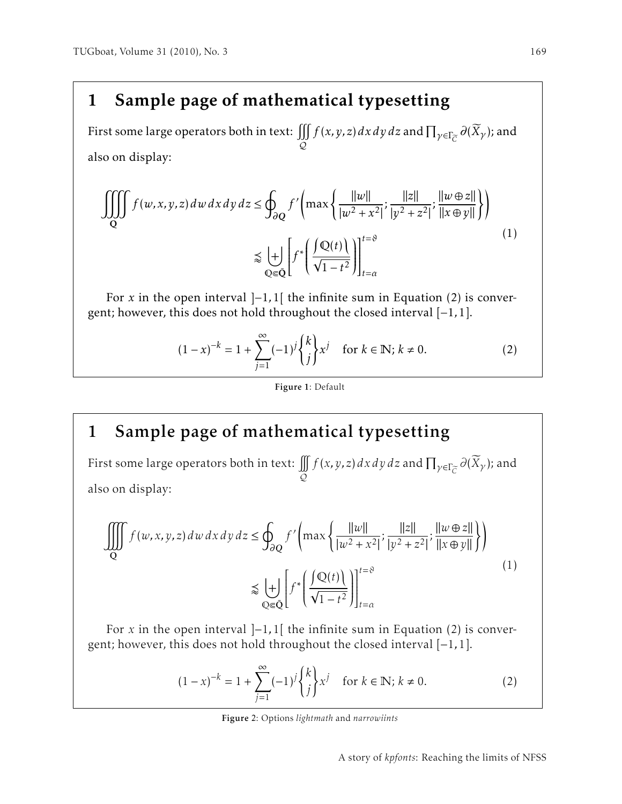First some large operators both in text:  $\iiint\limits_{\Omega} f(x,y,z)\,dx\,dy\,dz$  and  $\prod_{\gamma\in\Gamma_{\widetilde{C}}} \partial(\widetilde{X}_{\gamma})$ ; and  $\varphi$ also on display:

$$
\iiint_{Q} f(w, x, y, z) dw dx dy dz \le \oint_{\partial Q} f' \left( \max \left\{ \frac{||w||}{|w^2 + x^2|}; \frac{||z||}{|y^2 + z^2|}; \frac{||w \oplus z||}{||x \oplus y||} \right\} \right)
$$
  

$$
\lesssim \left. \frac{|\hspace{-.05cm}|}{\mathbb{Q} \in \bar{Q}} \right| f^* \left( \frac{\int Q(t) \,}{\sqrt{1 - t^2}} \right) \Big|_{t = \alpha}^{t = \vartheta}
$$
  
(1)

For *x* in the open interval  $]-1,1[$  the infinite sum in Equation (2) is convergent; however, this does not hold throughout the closed interval [−1*,*1].

$$
(1-x)^{-k} = 1 + \sum_{j=1}^{\infty} (-1)^j {k \choose j} x^j \quad \text{for } k \in \mathbb{N}; k \neq 0.
$$
 (2)

## Figure 1: Default

# 1 Sample page of mathematical typesetting

First some large operators both in text: Q  $f(x, y, z) dx dy dz$  and  $\prod_{\gamma \in \Gamma_{\widetilde{C}}} \partial(\widetilde{X}_{\gamma})$ ; and also on display:

$$
\iiint_{Q} f(w, x, y, z) dw dx dy dz \le \oint_{\partial Q} f' \left( \max \left\{ \frac{||w||}{|w^2 + x^2|}; \frac{||z||}{|y^2 + z^2|}; \frac{||w \oplus z||}{||x \oplus y||} \right\} \right)
$$
  

$$
\lessapprox \biguplus_{Q \in \bar{Q}} \left[ f^* \left( \frac{\int Q(t) \,}{\sqrt{1 - t^2}} \right) \right]_{t = \alpha}^{t = \vartheta}
$$
 (1)

For *x* in the open interval ]−1*,*1[ the infinite sum in Equation (2) is convergent; however, this does not hold throughout the closed interval [−1*,*1].

$$
(1-x)^{-k} = 1 + \sum_{j=1}^{\infty} (-1)^j {k \choose j} x^j \text{ for } k \in \mathbb{N}; k \neq 0.
$$
 (2)

Figure 2: Options *lightmath* and *narrowiints*

A story of *kpfonts*: Reaching the limits of NFSS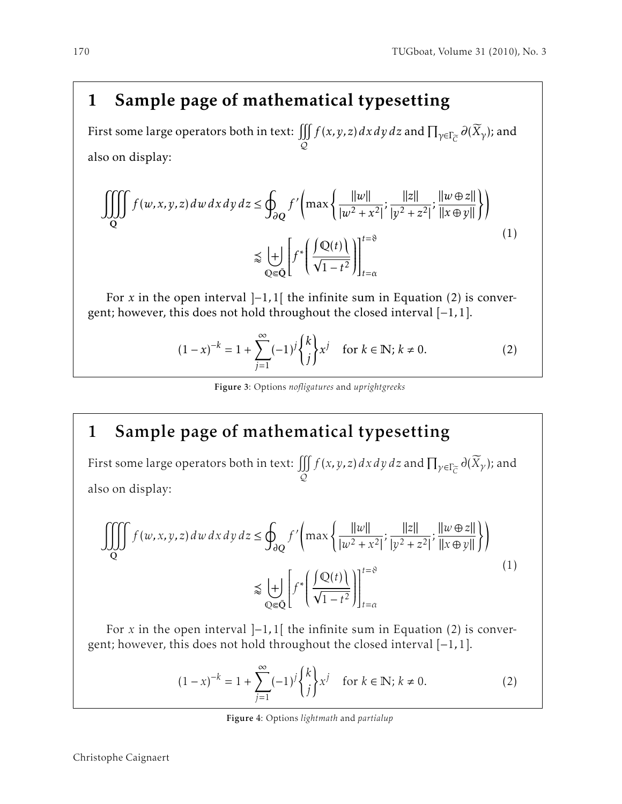First some large operators both in text:  $\iiint\limits_{\Omega} f(x,y,z)\,dx\,dy\,dz$  and  $\prod_{\gamma\in\Gamma_{\widetilde{C}}} \partial(\widetilde{X}_{\gamma})$ ; and  $\varphi$ also on display:

$$
\iiint_{Q} f(w, x, y, z) dw dx dy dz \le \oint_{\partial Q} f' \left( \max \left\{ \frac{||w||}{|w^2 + x^2|}; \frac{||z||}{|y^2 + z^2|}; \frac{||w \oplus z||}{||x \oplus y||} \right\} \right)
$$
  

$$
\lessapprox \left. \frac{|+|}{\mathbb{Q} \in \bar{\mathbb{Q}}} \left[ f^* \left( \frac{\int Q(t)}{\sqrt{1 - t^2}} \right) \right]_{t = \alpha}^{t = \vartheta} \right]
$$
(1)

For *x* in the open interval  $]-1,1[$  the infinite sum in Equation (2) is convergent; however, this does not hold throughout the closed interval [−1*,*1].

$$
(1-x)^{-k} = 1 + \sum_{j=1}^{\infty} (-1)^j {k \choose j} x^j \text{ for } k \in \mathbb{N}; k \neq 0.
$$
 (2)

Figure 3: Options *nofligatures* and *uprightgreeks*

# 1 Sample page of mathematical typesetting

First some large operators both in text:  $\iiint_S f(x, y, z) dx dy dz$  and  $\prod_{\gamma \in \Gamma_{\widetilde{C}}} \partial(\widetilde{X}_\gamma)$ ; and  $\varphi$ also on display:

$$
\iiint_{Q} f(w, x, y, z) dw dx dy dz \le \oint_{\partial Q} f' \left( \max \left\{ \frac{||w||}{|w^2 + x^2|}; \frac{||z||}{|y^2 + z^2|}; \frac{||w \oplus z||}{||x \oplus y||} \right\} \right)
$$
  

$$
\lessapprox \left. \frac{|+|}{\sqrt{2\pi}} \left[ f^* \left( \frac{\int Q(t)}{\sqrt{1 - t^2}} \right) \right]_{t = \alpha}^{t = \vartheta} \right]
$$
 $(1)$ 

For *x* in the open interval ]−1*,*1[ the infinite sum in Equation (2) is convergent; however, this does not hold throughout the closed interval [−1*,*1].

$$
(1-x)^{-k} = 1 + \sum_{j=1}^{\infty} (-1)^j {k \choose j} x^j \text{ for } k \in \mathbb{N}; k \neq 0.
$$
 (2)

Figure 4: Options *lightmath* and *partialup*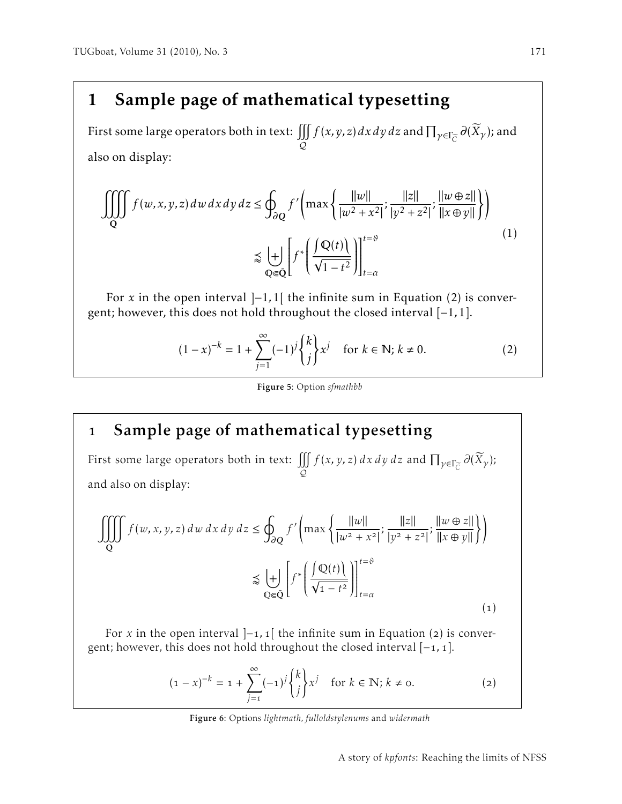First some large operators both in text:  $\iiint_S f(x, y, z) dx dy dz$  and  $\prod_{\gamma \in \Gamma_{\widetilde{C}}} \partial(\widetilde{X}_\gamma)$ ; and  $\varphi$ also on display:

$$
\iiint_{Q} f(w, x, y, z) dw dx dy dz \le \oint_{\partial Q} f' \left( \max \left\{ \frac{||w||}{|w^2 + x^2|} ; \frac{||z||}{|y^2 + z^2|} ; \frac{||w \oplus z||}{||x \oplus y||} \right\} \right)
$$
  

$$
\lesssim \left. \frac{|\hspace{-.05cm}|}{\hspace{-.05cm}Q \in \tilde{Q}} \right| f^* \left( \frac{\int Q(t) \,}{\sqrt{1 - t^2}} \right) \Big|_{t = \alpha}^{t = \vartheta}
$$
  
(1)

For *x* in the open interval  $]-1,1[$  the infinite sum in Equation (2) is convergent; however, this does not hold throughout the closed interval [−1*,*1].

$$
(1-x)^{-k} = 1 + \sum_{j=1}^{\infty} (-1)^j {k \choose j} x^j \quad \text{for } k \in \mathbb{N}; k \neq 0.
$$
 (2)

#### Figure 5: Option *sfmathbb*

# Sample page of mathematical typesetting

First some large operators both in text:  $\iiint_{\Omega} f(x, y, z) dx dy dz$  and  $\prod_{\gamma \in \Gamma_{\overline{C}}} \partial(\overline{X}_{\gamma})$ ;  $\varphi$ and also on display:

$$
\iiint_{Q} f(w, x, y, z) dw dx dy dz \le \oint_{\partial Q} f' \left( \max \left\{ \frac{||w||}{|w^2 + x^2|}; \frac{||z||}{|y^2 + z^2|}; \frac{||w \oplus z||}{||x \oplus y||} \right\} \right)
$$

$$
\lesssim \biguplus_{Q \in \bar{Q}} \left[ f^* \left( \frac{\int Q(t)}{\sqrt{1 - t^2}} \right) \right]_{t = \alpha}^{t = \vartheta}
$$
(1)

For *x* in the open interval  $]-1,1[$  the infinite sum in Equation (2) is convergent; however, this does not hold throughout the closed interval [-1, 1].

$$
(1-x)^{-k} = 1 + \sum_{j=1}^{\infty} (-1)^j {k \choose j} x^j \text{ for } k \in \mathbb{N}; k \neq 0.
$$
 (2)

Figure 6: Options *lightmath, fulloldstylenums* and *widermath*

A story of *kpfonts*: Reaching the limits of NFSS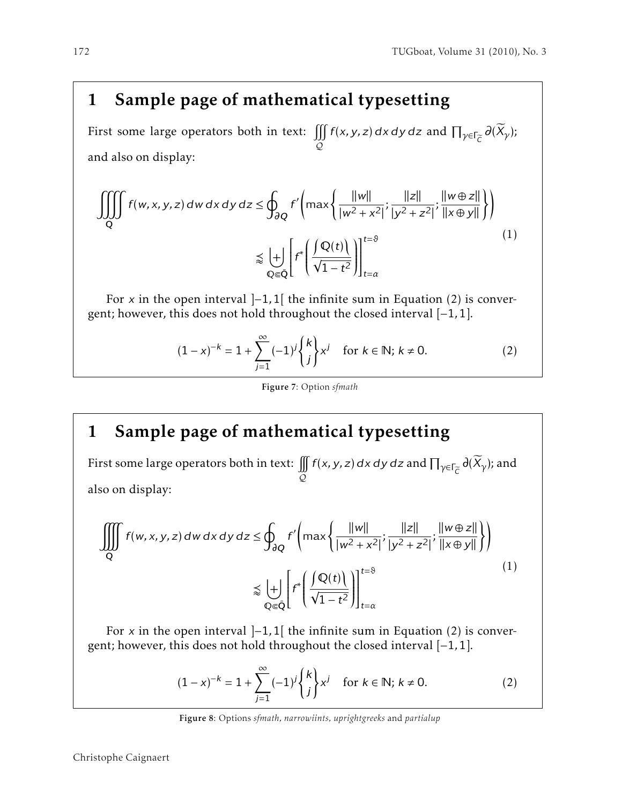First some large operators both in text:  $\iiint_{\Omega} f(x, y, z) dx dy dz$  and  $\prod_{\gamma \in \Gamma_{\widetilde{C}}} \partial(\widetilde{X}_{\gamma});$  $\varphi$ and also on display:

$$
\iiint_{Q} f(w, x, y, z) dw dx dy dz \le \oint_{\partial Q} f' \left( \max \left\{ \frac{||w||}{|w^2 + x^2|} ; \frac{||z||}{|y^2 + z^2|} ; \frac{||w \oplus z||}{||x \oplus y||} \right\} \right)
$$
  

$$
\lesssim \biguplus_{Q \in \bar{Q}} \left[ f^* \left( \frac{\int Q(t)}{\sqrt{1 - t^2}} \right) \right]_{t = \alpha}^{t = \vartheta}
$$
(1)

For x in the open interval ]−1*,*1[ the infinite sum in Equation (2) is convergent; however, this does not hold throughout the closed interval [−1*,*1].

$$
(1-x)^{-k} = 1 + \sum_{j=1}^{\infty} (-1)^j {k \choose j} x^j \text{ for } k \in \mathbb{N}; k \neq 0.
$$
 (2)

### Figure 7: Option *sfmath*

# 1 Sample page of mathematical typesetting

First some large operators both in text:  $\iint\limits_{\Omega} f(x,y,z)\,dx\,dy\,dz$  and  $\prod_{\gamma\in\Gamma_{\widetilde{C}}} \partial(\widetilde{X}_{\gamma})$ ; and  $\varphi$ also on display:

$$
\iiint_{Q} f(w, x, y, z) dw dx dy dz \le \oint_{\partial Q} f' \left( \max \left\{ \frac{||w||}{|w^2 + x^2|}; \frac{||z||}{|y^2 + z^2|}; \frac{||w \oplus z||}{||x \oplus y||} \right\} \right)
$$
  

$$
\lessapprox \left. \frac{|}{\Phi} \right| f^* \left( \frac{\int Q(t)}{\sqrt{1 - t^2}} \right) \Big|_{t = \alpha}^{t = \vartheta}
$$
 $(1)$ 

For x in the open interval ]−1*,*1[ the infinite sum in Equation (2) is convergent; however, this does not hold throughout the closed interval [−1*,*1].

$$
(1-x)^{-k} = 1 + \sum_{j=1}^{\infty} (-1)^j {k \choose j} x^j \text{ for } k \in \mathbb{N}; k \neq 0.
$$
 (2)

Figure 8: Options *sfmath, narrowiints, uprightgreeks* and *partialup*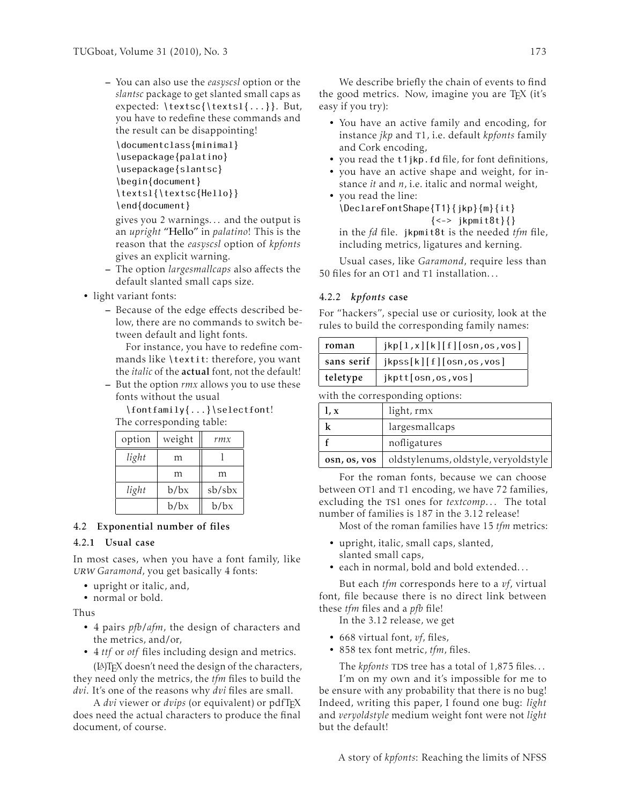– You can also use the *easyscsl* option or the *slantsc* package to get slanted small caps as expected: \textsc{\textsl{...}}. But, you have to redefine these commands and the result can be disappointing!

\documentclass{minimal} \usepackage{palatino} \usepackage{slantsc} \begin{document} \textsl{\textsc{Hello}} \end{document}

gives you 2 warnings. . . and the output is an *upright* "Hello" in *palatino*! This is the reason that the *easyscsl* option of *kpfonts* gives an explicit warning.

- The option *largesmallcaps* also affects the default slanted small caps size.
- light variant fonts:
	- Because of the edge effects described below, there are no commands to switch between default and light fonts.

For instance, you have to redefine commands like \textit: therefore, you want the *italic* of the actual font, not the default!

– But the option *rmx* allows you to use these fonts without the usual

\fontfamily{...}\selectfont!

The corresponding table:

| option | weight | rmx    |
|--------|--------|--------|
| light  | m      |        |
|        | m      | m      |
| light  | b/bx   | sb/sbx |
|        | b/bx   | b/bx   |

### 4.2 Exponential number of files

## 4.2.1 Usual case

In most cases, when you have a font family, like urw *Garamond*, you get basically 4 fonts:

- upright or italic, and,
- normal or bold.

Thus

- 4 pairs *pfb*/*afm*, the design of characters and the metrics, and/or,
- 4 *ttf* or *otf* files including design and metrics.

(LA)TEX doesn't need the design of the characters, they need only the metrics, the *tfm* files to build the *dvi*. It's one of the reasons why *dvi* files are small.

A *dvi* viewer or *dvips* (or equivalent) or pdfTEX does need the actual characters to produce the final document, of course.

We describe briefly the chain of events to find the good metrics. Now, imagine you are TEX (it's easy if you try):

- You have an active family and encoding, for instance *jkp* and t1, i.e. default *kpfonts* family and Cork encoding,
- you read the t1jkp.fd file, for font definitions,
- you have an active shape and weight, for instance *it* and *n*, i.e. italic and normal weight,
- you read the line: \DeclareFontShape{T1}{jkp}{m}{it} {<-> jkpmit8t}{} in the *fd* file. jkpmit8t is the needed *tfm* file, including metrics, ligatures and kerning.

Usual cases, like *Garamond*, require less than 50 files for an OT1 and T1 installation...

### 4.2.2 *kpfonts* case

For "hackers", special use or curiosity, look at the rules to build the corresponding family names:

| roman    | jkp[1,x][k][f][osn,os,vos]           |
|----------|--------------------------------------|
|          | sans serif   jkpss[k][f][osn,os,vos] |
| teletype | jkptt[osn,os,vos]                    |

with the corresponding options:

| l, x         | light, rmx                           |
|--------------|--------------------------------------|
|              | largesmallcaps                       |
|              | nofligatures                         |
| osn, os, vos | oldstylenums, oldstyle, veryoldstyle |

For the roman fonts, because we can choose between OT1 and T1 encoding, we have 72 families, excluding the TS1 ones for *textcomp...* The total number of families is 187 in the 3.12 release!

Most of the roman families have 15 *tfm* metrics:

- upright, italic, small caps, slanted, slanted small caps,
- each in normal, bold and bold extended. . .

But each *tfm* corresponds here to a *vf*, virtual font, file because there is no direct link between these *tfm* files and a *pfb* file!

In the 3.12 release, we get

- 668 virtual font, *vf*, files,
- 858 tex font metric, *tfm*, files.

The *kpfonts* TDS tree has a total of  $1,875$  files...

I'm on my own and it's impossible for me to be ensure with any probability that there is no bug! Indeed, writing this paper, I found one bug: *light* and *veryoldstyle* medium weight font were not *light* but the default!